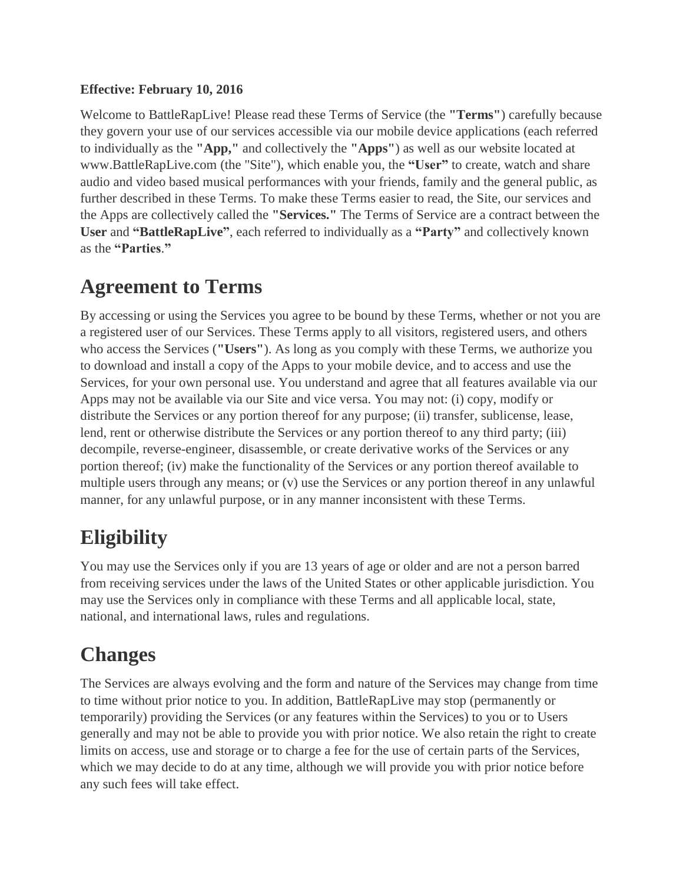### **Effective: February 10, 2016**

Welcome to BattleRapLive! Please read these Terms of Service (the **"Terms"**) carefully because they govern your use of our services accessible via our mobile device applications (each referred to individually as the **"App,"** and collectively the **"Apps"**) as well as our website located at www.BattleRapLive.com (the "Site"), which enable you, the **"User"** to create, watch and share audio and video based musical performances with your friends, family and the general public, as further described in these Terms. To make these Terms easier to read, the Site, our services and the Apps are collectively called the **"Services."** The Terms of Service are a contract between the **User** and **"BattleRapLive"**, each referred to individually as a **"Party"** and collectively known as the **"Parties**.**"**

## **Agreement to Terms**

By accessing or using the Services you agree to be bound by these Terms, whether or not you are a registered user of our Services. These Terms apply to all visitors, registered users, and others who access the Services (**"Users"**). As long as you comply with these Terms, we authorize you to download and install a copy of the Apps to your mobile device, and to access and use the Services, for your own personal use. You understand and agree that all features available via our Apps may not be available via our Site and vice versa. You may not: (i) copy, modify or distribute the Services or any portion thereof for any purpose; (ii) transfer, sublicense, lease, lend, rent or otherwise distribute the Services or any portion thereof to any third party; (iii) decompile, reverse-engineer, disassemble, or create derivative works of the Services or any portion thereof; (iv) make the functionality of the Services or any portion thereof available to multiple users through any means; or (v) use the Services or any portion thereof in any unlawful manner, for any unlawful purpose, or in any manner inconsistent with these Terms.

# **Eligibility**

You may use the Services only if you are 13 years of age or older and are not a person barred from receiving services under the laws of the United States or other applicable jurisdiction. You may use the Services only in compliance with these Terms and all applicable local, state, national, and international laws, rules and regulations.

# **Changes**

The Services are always evolving and the form and nature of the Services may change from time to time without prior notice to you. In addition, BattleRapLive may stop (permanently or temporarily) providing the Services (or any features within the Services) to you or to Users generally and may not be able to provide you with prior notice. We also retain the right to create limits on access, use and storage or to charge a fee for the use of certain parts of the Services, which we may decide to do at any time, although we will provide you with prior notice before any such fees will take effect.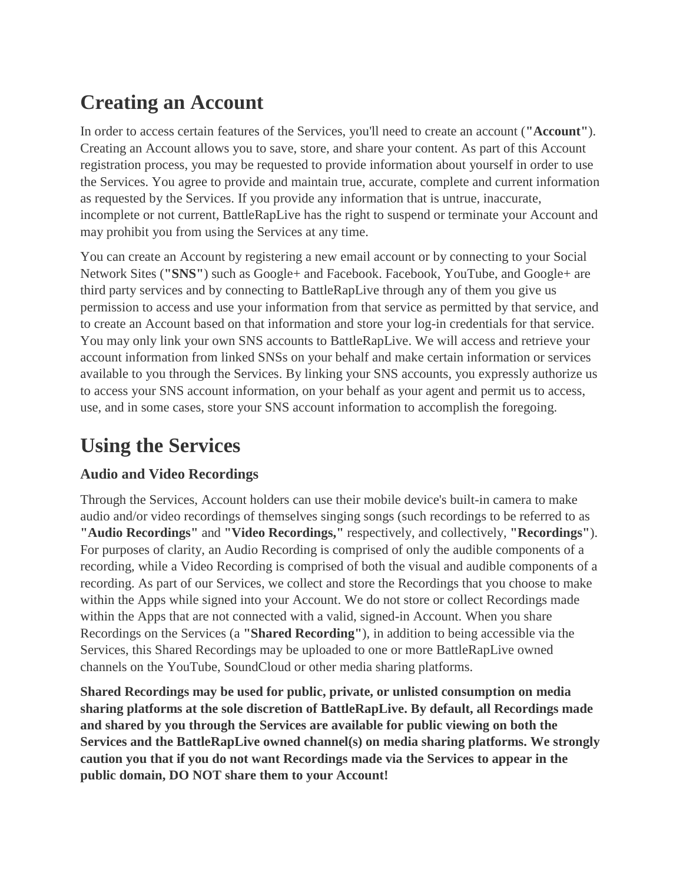# **Creating an Account**

In order to access certain features of the Services, you'll need to create an account (**"Account"**). Creating an Account allows you to save, store, and share your content. As part of this Account registration process, you may be requested to provide information about yourself in order to use the Services. You agree to provide and maintain true, accurate, complete and current information as requested by the Services. If you provide any information that is untrue, inaccurate, incomplete or not current, BattleRapLive has the right to suspend or terminate your Account and may prohibit you from using the Services at any time.

You can create an Account by registering a new email account or by connecting to your Social Network Sites (**"SNS"**) such as Google+ and Facebook. Facebook, YouTube, and Google+ are third party services and by connecting to BattleRapLive through any of them you give us permission to access and use your information from that service as permitted by that service, and to create an Account based on that information and store your log-in credentials for that service. You may only link your own SNS accounts to BattleRapLive. We will access and retrieve your account information from linked SNSs on your behalf and make certain information or services available to you through the Services. By linking your SNS accounts, you expressly authorize us to access your SNS account information, on your behalf as your agent and permit us to access, use, and in some cases, store your SNS account information to accomplish the foregoing.

# **Using the Services**

## **Audio and Video Recordings**

Through the Services, Account holders can use their mobile device's built-in camera to make audio and/or video recordings of themselves singing songs (such recordings to be referred to as **"Audio Recordings"** and **"Video Recordings,"** respectively, and collectively, **"Recordings"**). For purposes of clarity, an Audio Recording is comprised of only the audible components of a recording, while a Video Recording is comprised of both the visual and audible components of a recording. As part of our Services, we collect and store the Recordings that you choose to make within the Apps while signed into your Account. We do not store or collect Recordings made within the Apps that are not connected with a valid, signed-in Account. When you share Recordings on the Services (a **"Shared Recording"**), in addition to being accessible via the Services, this Shared Recordings may be uploaded to one or more BattleRapLive owned channels on the YouTube, SoundCloud or other media sharing platforms.

**Shared Recordings may be used for public, private, or unlisted consumption on media sharing platforms at the sole discretion of BattleRapLive. By default, all Recordings made and shared by you through the Services are available for public viewing on both the Services and the BattleRapLive owned channel(s) on media sharing platforms. We strongly caution you that if you do not want Recordings made via the Services to appear in the public domain, DO NOT share them to your Account!**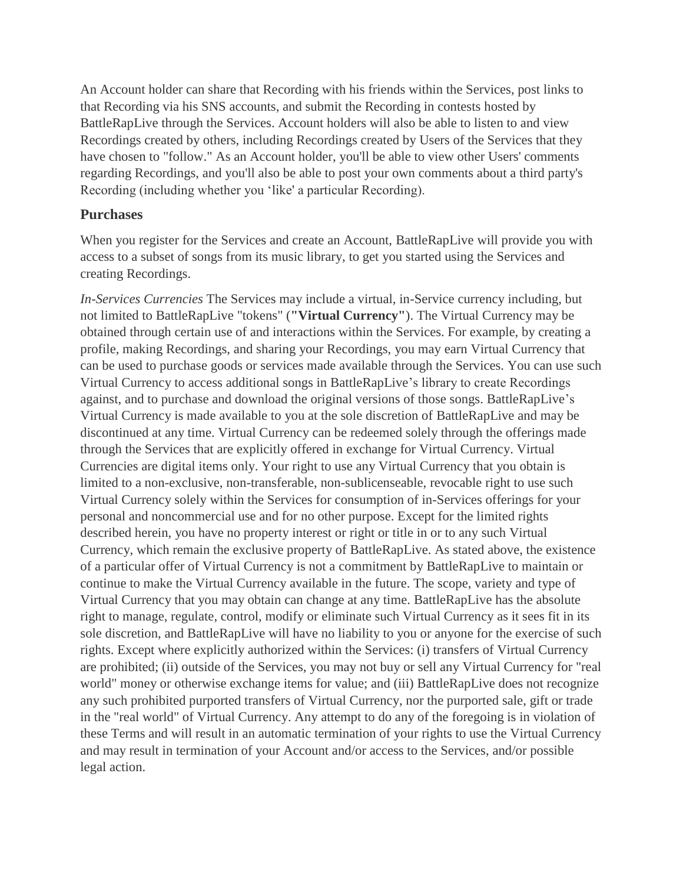An Account holder can share that Recording with his friends within the Services, post links to that Recording via his SNS accounts, and submit the Recording in contests hosted by BattleRapLive through the Services. Account holders will also be able to listen to and view Recordings created by others, including Recordings created by Users of the Services that they have chosen to "follow." As an Account holder, you'll be able to view other Users' comments regarding Recordings, and you'll also be able to post your own comments about a third party's Recording (including whether you 'like' a particular Recording).

#### **Purchases**

When you register for the Services and create an Account, BattleRapLive will provide you with access to a subset of songs from its music library, to get you started using the Services and creating Recordings.

*In-Services Currencies* The Services may include a virtual, in-Service currency including, but not limited to BattleRapLive "tokens" (**"Virtual Currency"**). The Virtual Currency may be obtained through certain use of and interactions within the Services. For example, by creating a profile, making Recordings, and sharing your Recordings, you may earn Virtual Currency that can be used to purchase goods or services made available through the Services. You can use such Virtual Currency to access additional songs in BattleRapLive's library to create Recordings against, and to purchase and download the original versions of those songs. BattleRapLive's Virtual Currency is made available to you at the sole discretion of BattleRapLive and may be discontinued at any time. Virtual Currency can be redeemed solely through the offerings made through the Services that are explicitly offered in exchange for Virtual Currency. Virtual Currencies are digital items only. Your right to use any Virtual Currency that you obtain is limited to a non-exclusive, non-transferable, non-sublicenseable, revocable right to use such Virtual Currency solely within the Services for consumption of in-Services offerings for your personal and noncommercial use and for no other purpose. Except for the limited rights described herein, you have no property interest or right or title in or to any such Virtual Currency, which remain the exclusive property of BattleRapLive. As stated above, the existence of a particular offer of Virtual Currency is not a commitment by BattleRapLive to maintain or continue to make the Virtual Currency available in the future. The scope, variety and type of Virtual Currency that you may obtain can change at any time. BattleRapLive has the absolute right to manage, regulate, control, modify or eliminate such Virtual Currency as it sees fit in its sole discretion, and BattleRapLive will have no liability to you or anyone for the exercise of such rights. Except where explicitly authorized within the Services: (i) transfers of Virtual Currency are prohibited; (ii) outside of the Services, you may not buy or sell any Virtual Currency for "real world" money or otherwise exchange items for value; and (iii) BattleRapLive does not recognize any such prohibited purported transfers of Virtual Currency, nor the purported sale, gift or trade in the "real world" of Virtual Currency. Any attempt to do any of the foregoing is in violation of these Terms and will result in an automatic termination of your rights to use the Virtual Currency and may result in termination of your Account and/or access to the Services, and/or possible legal action.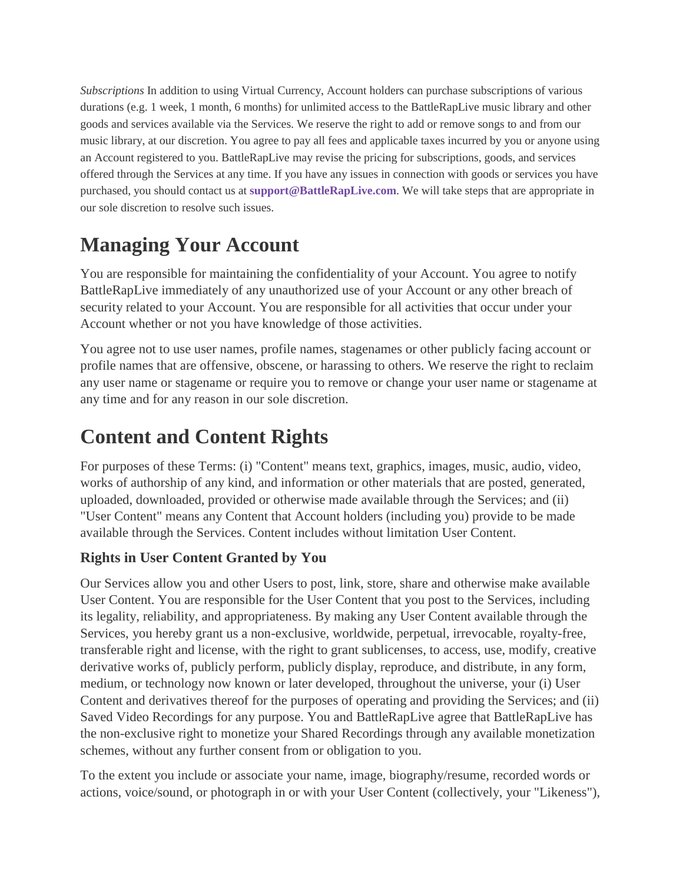*Subscriptions* In addition to using Virtual Currency, Account holders can purchase subscriptions of various durations (e.g. 1 week, 1 month, 6 months) for unlimited access to the BattleRapLive music library and other goods and services available via the Services. We reserve the right to add or remove songs to and from our music library, at our discretion. You agree to pay all fees and applicable taxes incurred by you or anyone using an Account registered to you. BattleRapLive may revise the pricing for subscriptions, goods, and services offered through the Services at any time. If you have any issues in connection with goods or services you have purchased, you should contact us at **[support@BattleRapLive.com](mailto:support@starmakerstudios.com)**. We will take steps that are appropriate in our sole discretion to resolve such issues.

## **Managing Your Account**

You are responsible for maintaining the confidentiality of your Account. You agree to notify BattleRapLive immediately of any unauthorized use of your Account or any other breach of security related to your Account. You are responsible for all activities that occur under your Account whether or not you have knowledge of those activities.

You agree not to use user names, profile names, stagenames or other publicly facing account or profile names that are offensive, obscene, or harassing to others. We reserve the right to reclaim any user name or stagename or require you to remove or change your user name or stagename at any time and for any reason in our sole discretion.

# **Content and Content Rights**

For purposes of these Terms: (i) "Content" means text, graphics, images, music, audio, video, works of authorship of any kind, and information or other materials that are posted, generated, uploaded, downloaded, provided or otherwise made available through the Services; and (ii) "User Content" means any Content that Account holders (including you) provide to be made available through the Services. Content includes without limitation User Content.

### **Rights in User Content Granted by You**

Our Services allow you and other Users to post, link, store, share and otherwise make available User Content. You are responsible for the User Content that you post to the Services, including its legality, reliability, and appropriateness. By making any User Content available through the Services, you hereby grant us a non-exclusive, worldwide, perpetual, irrevocable, royalty-free, transferable right and license, with the right to grant sublicenses, to access, use, modify, creative derivative works of, publicly perform, publicly display, reproduce, and distribute, in any form, medium, or technology now known or later developed, throughout the universe, your (i) User Content and derivatives thereof for the purposes of operating and providing the Services; and (ii) Saved Video Recordings for any purpose. You and BattleRapLive agree that BattleRapLive has the non-exclusive right to monetize your Shared Recordings through any available monetization schemes, without any further consent from or obligation to you.

To the extent you include or associate your name, image, biography/resume, recorded words or actions, voice/sound, or photograph in or with your User Content (collectively, your "Likeness"),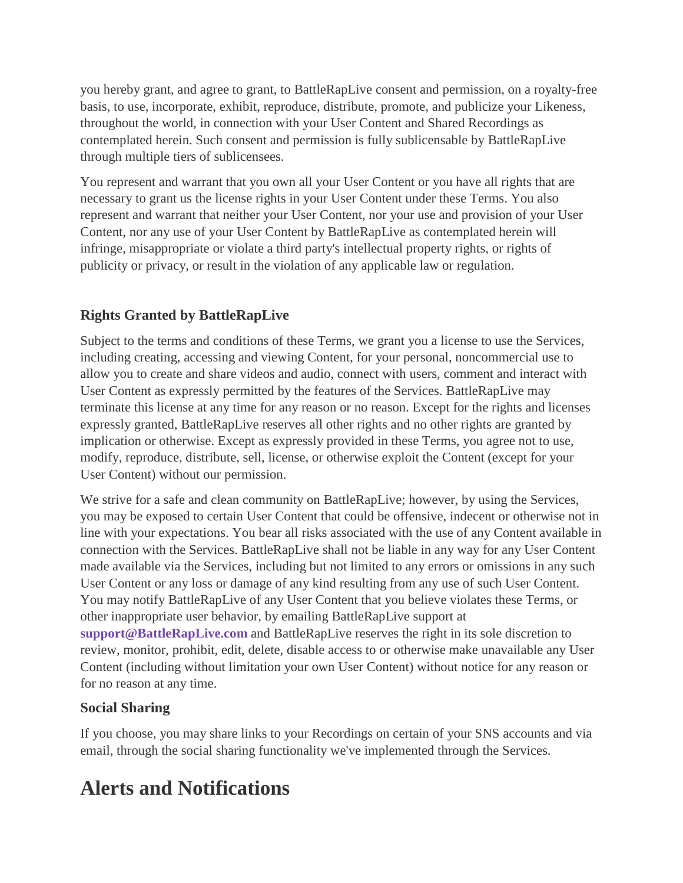you hereby grant, and agree to grant, to BattleRapLive consent and permission, on a royalty-free basis, to use, incorporate, exhibit, reproduce, distribute, promote, and publicize your Likeness, throughout the world, in connection with your User Content and Shared Recordings as contemplated herein. Such consent and permission is fully sublicensable by BattleRapLive through multiple tiers of sublicensees.

You represent and warrant that you own all your User Content or you have all rights that are necessary to grant us the license rights in your User Content under these Terms. You also represent and warrant that neither your User Content, nor your use and provision of your User Content, nor any use of your User Content by BattleRapLive as contemplated herein will infringe, misappropriate or violate a third party's intellectual property rights, or rights of publicity or privacy, or result in the violation of any applicable law or regulation.

### **Rights Granted by BattleRapLive**

Subject to the terms and conditions of these Terms, we grant you a license to use the Services, including creating, accessing and viewing Content, for your personal, noncommercial use to allow you to create and share videos and audio, connect with users, comment and interact with User Content as expressly permitted by the features of the Services. BattleRapLive may terminate this license at any time for any reason or no reason. Except for the rights and licenses expressly granted, BattleRapLive reserves all other rights and no other rights are granted by implication or otherwise. Except as expressly provided in these Terms, you agree not to use, modify, reproduce, distribute, sell, license, or otherwise exploit the Content (except for your User Content) without our permission.

We strive for a safe and clean community on BattleRapLive; however, by using the Services, you may be exposed to certain User Content that could be offensive, indecent or otherwise not in line with your expectations. You bear all risks associated with the use of any Content available in connection with the Services. BattleRapLive shall not be liable in any way for any User Content made available via the Services, including but not limited to any errors or omissions in any such User Content or any loss or damage of any kind resulting from any use of such User Content. You may notify BattleRapLive of any User Content that you believe violates these Terms, or other inappropriate user behavior, by emailing BattleRapLive support at **[support@BattleRapLive.com](mailto:support@starmakerstudios.com)** and BattleRapLive reserves the right in its sole discretion to review, monitor, prohibit, edit, delete, disable access to or otherwise make unavailable any User Content (including without limitation your own User Content) without notice for any reason or for no reason at any time.

### **Social Sharing**

If you choose, you may share links to your Recordings on certain of your SNS accounts and via email, through the social sharing functionality we've implemented through the Services.

## **Alerts and Notifications**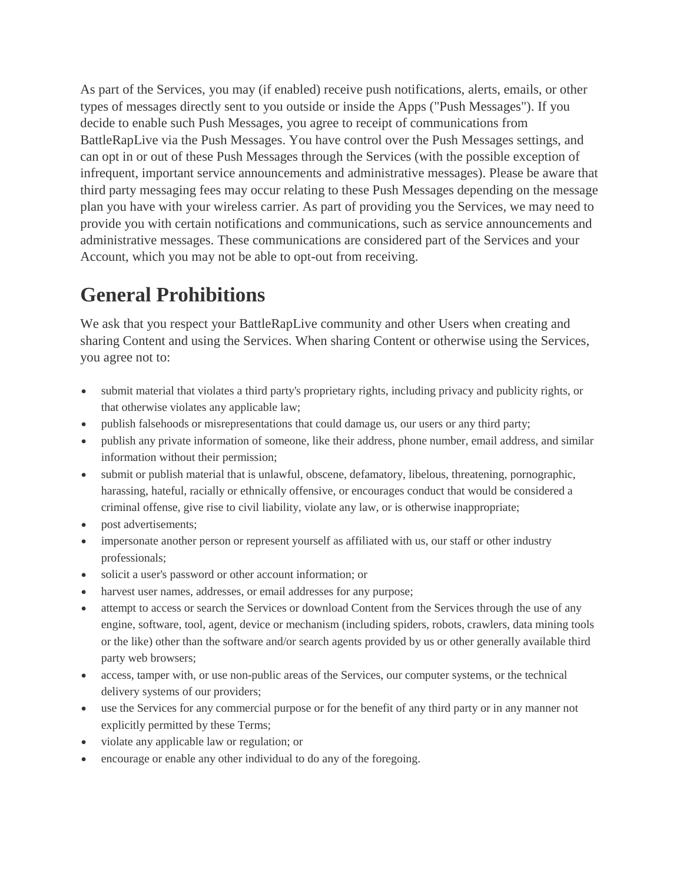As part of the Services, you may (if enabled) receive push notifications, alerts, emails, or other types of messages directly sent to you outside or inside the Apps ("Push Messages"). If you decide to enable such Push Messages, you agree to receipt of communications from BattleRapLive via the Push Messages. You have control over the Push Messages settings, and can opt in or out of these Push Messages through the Services (with the possible exception of infrequent, important service announcements and administrative messages). Please be aware that third party messaging fees may occur relating to these Push Messages depending on the message plan you have with your wireless carrier. As part of providing you the Services, we may need to provide you with certain notifications and communications, such as service announcements and administrative messages. These communications are considered part of the Services and your Account, which you may not be able to opt-out from receiving.

## **General Prohibitions**

We ask that you respect your BattleRapLive community and other Users when creating and sharing Content and using the Services. When sharing Content or otherwise using the Services, you agree not to:

- submit material that violates a third party's proprietary rights, including privacy and publicity rights, or that otherwise violates any applicable law;
- publish falsehoods or misrepresentations that could damage us, our users or any third party;
- publish any private information of someone, like their address, phone number, email address, and similar information without their permission;
- submit or publish material that is unlawful, obscene, defamatory, libelous, threatening, pornographic, harassing, hateful, racially or ethnically offensive, or encourages conduct that would be considered a criminal offense, give rise to civil liability, violate any law, or is otherwise inappropriate;
- post advertisements:
- impersonate another person or represent yourself as affiliated with us, our staff or other industry professionals;
- solicit a user's password or other account information; or
- harvest user names, addresses, or email addresses for any purpose;
- attempt to access or search the Services or download Content from the Services through the use of any engine, software, tool, agent, device or mechanism (including spiders, robots, crawlers, data mining tools or the like) other than the software and/or search agents provided by us or other generally available third party web browsers;
- access, tamper with, or use non-public areas of the Services, our computer systems, or the technical delivery systems of our providers;
- use the Services for any commercial purpose or for the benefit of any third party or in any manner not explicitly permitted by these Terms;
- violate any applicable law or regulation; or
- encourage or enable any other individual to do any of the foregoing.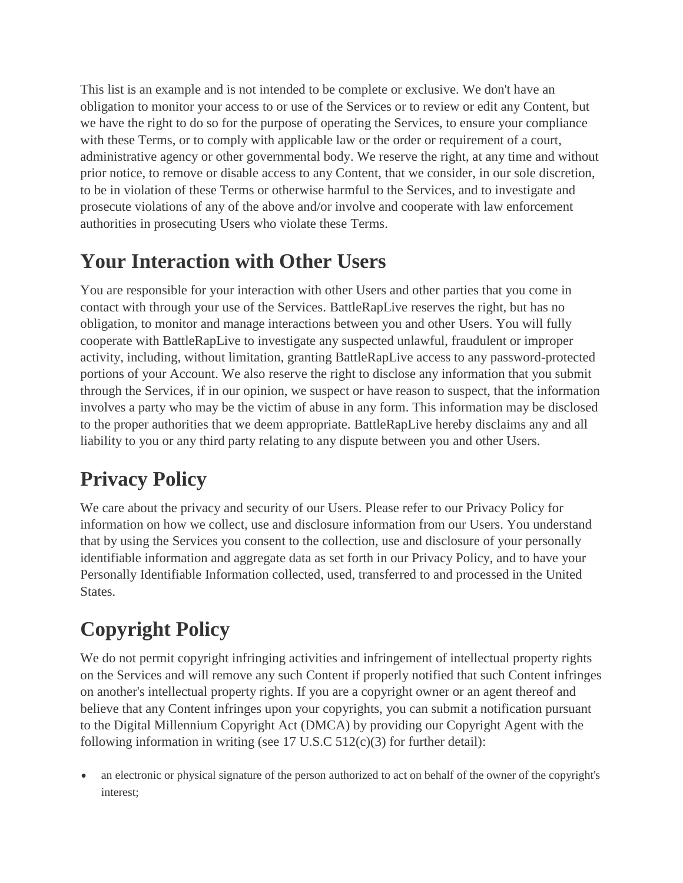This list is an example and is not intended to be complete or exclusive. We don't have an obligation to monitor your access to or use of the Services or to review or edit any Content, but we have the right to do so for the purpose of operating the Services, to ensure your compliance with these Terms, or to comply with applicable law or the order or requirement of a court, administrative agency or other governmental body. We reserve the right, at any time and without prior notice, to remove or disable access to any Content, that we consider, in our sole discretion, to be in violation of these Terms or otherwise harmful to the Services, and to investigate and prosecute violations of any of the above and/or involve and cooperate with law enforcement authorities in prosecuting Users who violate these Terms.

# **Your Interaction with Other Users**

You are responsible for your interaction with other Users and other parties that you come in contact with through your use of the Services. BattleRapLive reserves the right, but has no obligation, to monitor and manage interactions between you and other Users. You will fully cooperate with BattleRapLive to investigate any suspected unlawful, fraudulent or improper activity, including, without limitation, granting BattleRapLive access to any password-protected portions of your Account. We also reserve the right to disclose any information that you submit through the Services, if in our opinion, we suspect or have reason to suspect, that the information involves a party who may be the victim of abuse in any form. This information may be disclosed to the proper authorities that we deem appropriate. BattleRapLive hereby disclaims any and all liability to you or any third party relating to any dispute between you and other Users.

# **Privacy Policy**

We care about the privacy and security of our Users. Please refer to our Privacy Policy for information on how we collect, use and disclosure information from our Users. You understand that by using the Services you consent to the collection, use and disclosure of your personally identifiable information and aggregate data as set forth in our Privacy Policy, and to have your Personally Identifiable Information collected, used, transferred to and processed in the United States.

# **Copyright Policy**

We do not permit copyright infringing activities and infringement of intellectual property rights on the Services and will remove any such Content if properly notified that such Content infringes on another's intellectual property rights. If you are a copyright owner or an agent thereof and believe that any Content infringes upon your copyrights, you can submit a notification pursuant to the Digital Millennium Copyright Act (DMCA) by providing our Copyright Agent with the following information in writing (see  $17 \text{ U.S. C } 512(c)(3)$  for further detail):

• an electronic or physical signature of the person authorized to act on behalf of the owner of the copyright's interest;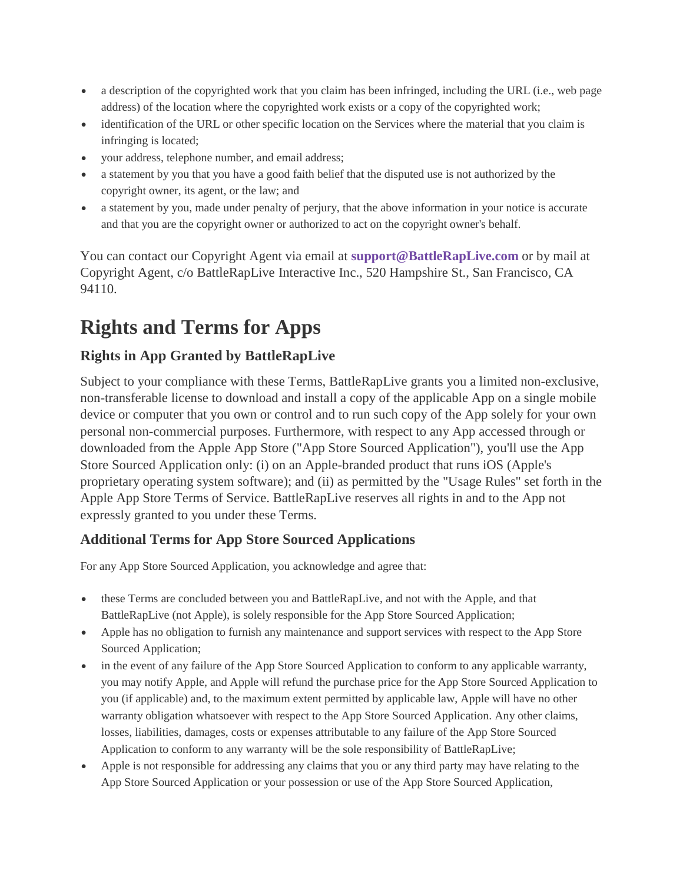- a description of the copyrighted work that you claim has been infringed, including the URL (i.e., web page address) of the location where the copyrighted work exists or a copy of the copyrighted work;
- identification of the URL or other specific location on the Services where the material that you claim is infringing is located;
- your address, telephone number, and email address;
- a statement by you that you have a good faith belief that the disputed use is not authorized by the copyright owner, its agent, or the law; and
- a statement by you, made under penalty of perjury, that the above information in your notice is accurate and that you are the copyright owner or authorized to act on the copyright owner's behalf.

You can contact our Copyright Agent via email at **[support@BattleRapLive.com](mailto:support@starmakerstudios.com)** or by mail at Copyright Agent, c/o BattleRapLive Interactive Inc., 520 Hampshire St., San Francisco, CA 94110.

# **Rights and Terms for Apps**

## **Rights in App Granted by BattleRapLive**

Subject to your compliance with these Terms, BattleRapLive grants you a limited non-exclusive, non-transferable license to download and install a copy of the applicable App on a single mobile device or computer that you own or control and to run such copy of the App solely for your own personal non-commercial purposes. Furthermore, with respect to any App accessed through or downloaded from the Apple App Store ("App Store Sourced Application"), you'll use the App Store Sourced Application only: (i) on an Apple-branded product that runs iOS (Apple's proprietary operating system software); and (ii) as permitted by the "Usage Rules" set forth in the Apple App Store Terms of Service. BattleRapLive reserves all rights in and to the App not expressly granted to you under these Terms.

### **Additional Terms for App Store Sourced Applications**

For any App Store Sourced Application, you acknowledge and agree that:

- these Terms are concluded between you and BattleRapLive, and not with the Apple, and that BattleRapLive (not Apple), is solely responsible for the App Store Sourced Application;
- Apple has no obligation to furnish any maintenance and support services with respect to the App Store Sourced Application;
- in the event of any failure of the App Store Sourced Application to conform to any applicable warranty, you may notify Apple, and Apple will refund the purchase price for the App Store Sourced Application to you (if applicable) and, to the maximum extent permitted by applicable law, Apple will have no other warranty obligation whatsoever with respect to the App Store Sourced Application. Any other claims, losses, liabilities, damages, costs or expenses attributable to any failure of the App Store Sourced Application to conform to any warranty will be the sole responsibility of BattleRapLive;
- Apple is not responsible for addressing any claims that you or any third party may have relating to the App Store Sourced Application or your possession or use of the App Store Sourced Application,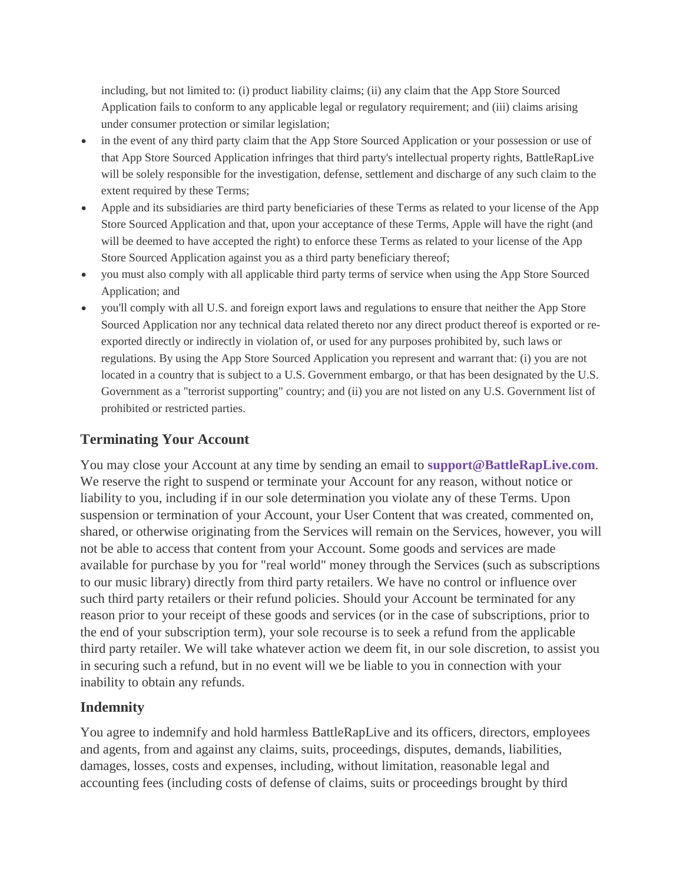including, but not limited to: (i) product liability claims; (ii) any claim that the App Store Sourced Application fails to conform to any applicable legal or regulatory requirement; and (iii) claims arising under consumer protection or similar legislation;

- in the event of any third party claim that the App Store Sourced Application or your possession or use of that App Store Sourced Application infringes that third party's intellectual property rights, BattleRapLive will be solely responsible for the investigation, defense, settlement and discharge of any such claim to the extent required by these Terms;
- Apple and its subsidiaries are third party beneficiaries of these Terms as related to your license of the App Store Sourced Application and that, upon your acceptance of these Terms, Apple will have the right (and will be deemed to have accepted the right) to enforce these Terms as related to your license of the App Store Sourced Application against you as a third party beneficiary thereof;
- you must also comply with all applicable third party terms of service when using the App Store Sourced Application; and
- you'll comply with all U.S. and foreign export laws and regulations to ensure that neither the App Store Sourced Application nor any technical data related thereto nor any direct product thereof is exported or reexported directly or indirectly in violation of, or used for any purposes prohibited by, such laws or regulations. By using the App Store Sourced Application you represent and warrant that: (i) you are not located in a country that is subject to a U.S. Government embargo, or that has been designated by the U.S. Government as a "terrorist supporting" country; and (ii) you are not listed on any U.S. Government list of prohibited or restricted parties.

### **Terminating Your Account**

You may close your Account at any time by sending an email to **[support@BattleRapLive.com](mailto:support@starmakerstudios.com)**. We reserve the right to suspend or terminate your Account for any reason, without notice or liability to you, including if in our sole determination you violate any of these Terms. Upon suspension or termination of your Account, your User Content that was created, commented on, shared, or otherwise originating from the Services will remain on the Services, however, you will not be able to access that content from your Account. Some goods and services are made available for purchase by you for "real world" money through the Services (such as subscriptions to our music library) directly from third party retailers. We have no control or influence over such third party retailers or their refund policies. Should your Account be terminated for any reason prior to your receipt of these goods and services (or in the case of subscriptions, prior to the end of your subscription term), your sole recourse is to seek a refund from the applicable third party retailer. We will take whatever action we deem fit, in our sole discretion, to assist you in securing such a refund, but in no event will we be liable to you in connection with your inability to obtain any refunds.

### **Indemnity**

You agree to indemnify and hold harmless BattleRapLive and its officers, directors, employees and agents, from and against any claims, suits, proceedings, disputes, demands, liabilities, damages, losses, costs and expenses, including, without limitation, reasonable legal and accounting fees (including costs of defense of claims, suits or proceedings brought by third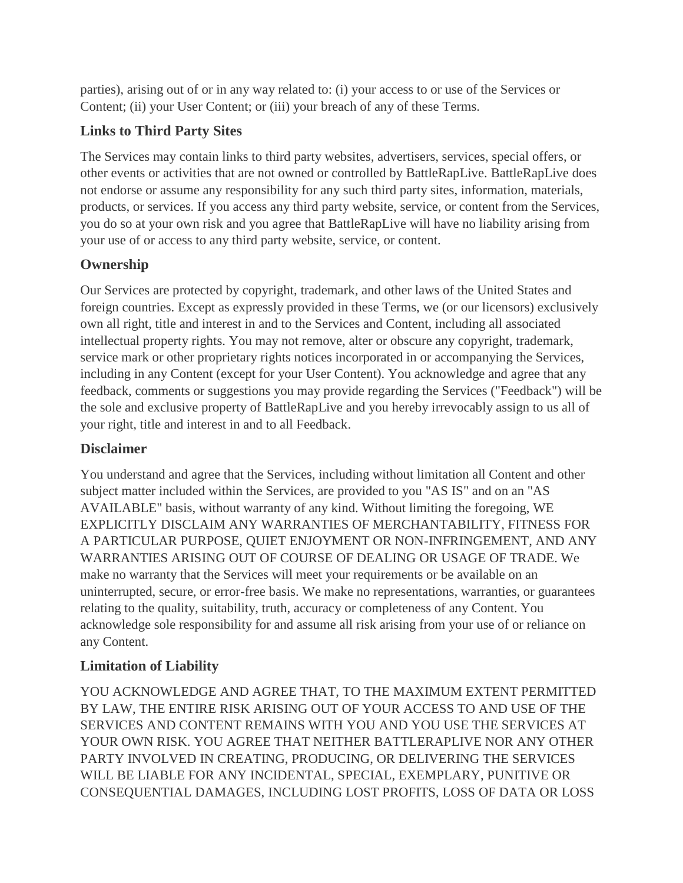parties), arising out of or in any way related to: (i) your access to or use of the Services or Content; (ii) your User Content; or (iii) your breach of any of these Terms.

## **Links to Third Party Sites**

The Services may contain links to third party websites, advertisers, services, special offers, or other events or activities that are not owned or controlled by BattleRapLive. BattleRapLive does not endorse or assume any responsibility for any such third party sites, information, materials, products, or services. If you access any third party website, service, or content from the Services, you do so at your own risk and you agree that BattleRapLive will have no liability arising from your use of or access to any third party website, service, or content.

### **Ownership**

Our Services are protected by copyright, trademark, and other laws of the United States and foreign countries. Except as expressly provided in these Terms, we (or our licensors) exclusively own all right, title and interest in and to the Services and Content, including all associated intellectual property rights. You may not remove, alter or obscure any copyright, trademark, service mark or other proprietary rights notices incorporated in or accompanying the Services, including in any Content (except for your User Content). You acknowledge and agree that any feedback, comments or suggestions you may provide regarding the Services ("Feedback") will be the sole and exclusive property of BattleRapLive and you hereby irrevocably assign to us all of your right, title and interest in and to all Feedback.

### **Disclaimer**

You understand and agree that the Services, including without limitation all Content and other subject matter included within the Services, are provided to you "AS IS" and on an "AS AVAILABLE" basis, without warranty of any kind. Without limiting the foregoing, WE EXPLICITLY DISCLAIM ANY WARRANTIES OF MERCHANTABILITY, FITNESS FOR A PARTICULAR PURPOSE, QUIET ENJOYMENT OR NON-INFRINGEMENT, AND ANY WARRANTIES ARISING OUT OF COURSE OF DEALING OR USAGE OF TRADE. We make no warranty that the Services will meet your requirements or be available on an uninterrupted, secure, or error-free basis. We make no representations, warranties, or guarantees relating to the quality, suitability, truth, accuracy or completeness of any Content. You acknowledge sole responsibility for and assume all risk arising from your use of or reliance on any Content.

### **Limitation of Liability**

YOU ACKNOWLEDGE AND AGREE THAT, TO THE MAXIMUM EXTENT PERMITTED BY LAW, THE ENTIRE RISK ARISING OUT OF YOUR ACCESS TO AND USE OF THE SERVICES AND CONTENT REMAINS WITH YOU AND YOU USE THE SERVICES AT YOUR OWN RISK. YOU AGREE THAT NEITHER BATTLERAPLIVE NOR ANY OTHER PARTY INVOLVED IN CREATING, PRODUCING, OR DELIVERING THE SERVICES WILL BE LIABLE FOR ANY INCIDENTAL, SPECIAL, EXEMPLARY, PUNITIVE OR CONSEQUENTIAL DAMAGES, INCLUDING LOST PROFITS, LOSS OF DATA OR LOSS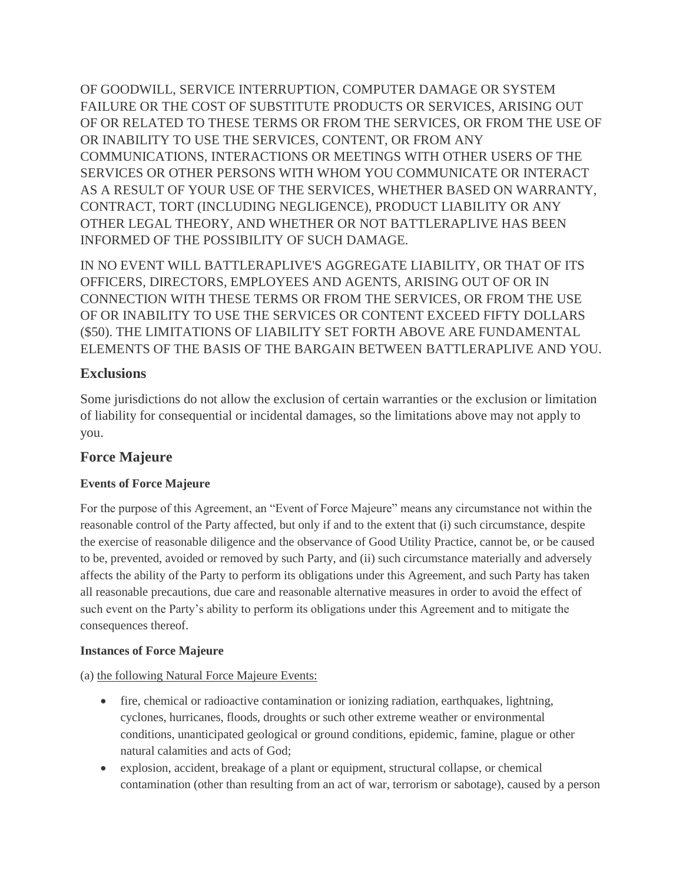OF GOODWILL, SERVICE INTERRUPTION, COMPUTER DAMAGE OR SYSTEM FAILURE OR THE COST OF SUBSTITUTE PRODUCTS OR SERVICES, ARISING OUT OF OR RELATED TO THESE TERMS OR FROM THE SERVICES, OR FROM THE USE OF OR INABILITY TO USE THE SERVICES, CONTENT, OR FROM ANY COMMUNICATIONS, INTERACTIONS OR MEETINGS WITH OTHER USERS OF THE SERVICES OR OTHER PERSONS WITH WHOM YOU COMMUNICATE OR INTERACT AS A RESULT OF YOUR USE OF THE SERVICES, WHETHER BASED ON WARRANTY, CONTRACT, TORT (INCLUDING NEGLIGENCE), PRODUCT LIABILITY OR ANY OTHER LEGAL THEORY, AND WHETHER OR NOT BATTLERAPLIVE HAS BEEN INFORMED OF THE POSSIBILITY OF SUCH DAMAGE.

IN NO EVENT WILL BATTLERAPLIVE'S AGGREGATE LIABILITY, OR THAT OF ITS OFFICERS, DIRECTORS, EMPLOYEES AND AGENTS, ARISING OUT OF OR IN CONNECTION WITH THESE TERMS OR FROM THE SERVICES, OR FROM THE USE OF OR INABILITY TO USE THE SERVICES OR CONTENT EXCEED FIFTY DOLLARS (\$50). THE LIMITATIONS OF LIABILITY SET FORTH ABOVE ARE FUNDAMENTAL ELEMENTS OF THE BASIS OF THE BARGAIN BETWEEN BATTLERAPLIVE AND YOU.

### **Exclusions**

Some jurisdictions do not allow the exclusion of certain warranties or the exclusion or limitation of liability for consequential or incidental damages, so the limitations above may not apply to you.

### **Force Majeure**

### **Events of Force Majeure**

For the purpose of this Agreement, an "Event of Force Majeure" means any circumstance not within the reasonable control of the Party affected, but only if and to the extent that (i) such circumstance, despite the exercise of reasonable diligence and the observance of Good Utility Practice, cannot be, or be caused to be, prevented, avoided or removed by such Party, and (ii) such circumstance materially and adversely affects the ability of the Party to perform its obligations under this Agreement, and such Party has taken all reasonable precautions, due care and reasonable alternative measures in order to avoid the effect of such event on the Party's ability to perform its obligations under this Agreement and to mitigate the consequences thereof.

#### **Instances of Force Majeure**

(a) the following Natural Force Majeure Events:

- fire, chemical or radioactive contamination or ionizing radiation, earthquakes, lightning, cyclones, hurricanes, floods, droughts or such other extreme weather or environmental conditions, unanticipated geological or ground conditions, epidemic, famine, plague or other natural calamities and acts of God;
- explosion, accident, breakage of a plant or equipment, structural collapse, or chemical contamination (other than resulting from an act of war, terrorism or sabotage), caused by a person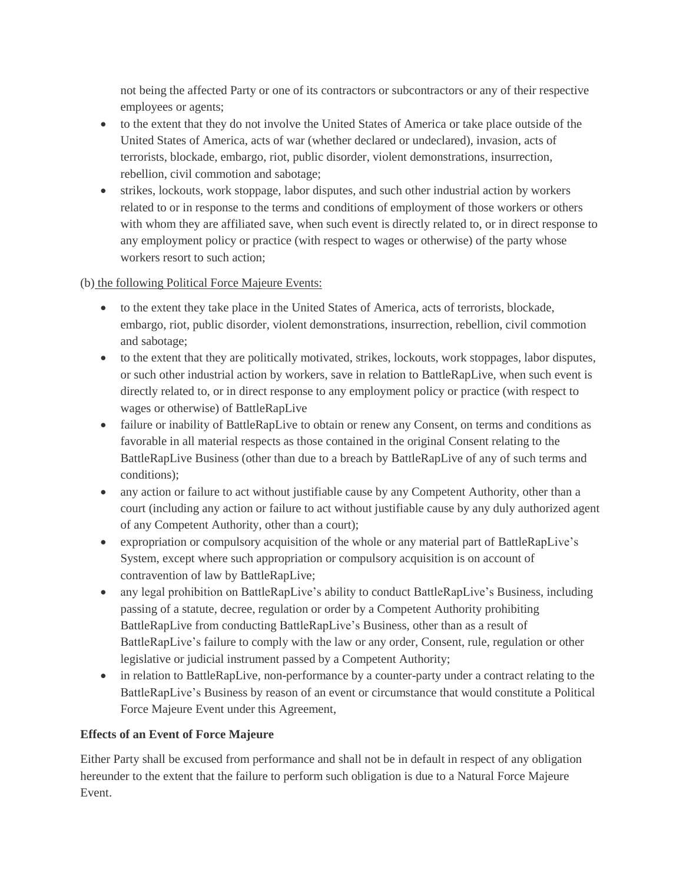not being the affected Party or one of its contractors or subcontractors or any of their respective employees or agents;

- to the extent that they do not involve the United States of America or take place outside of the United States of America, acts of war (whether declared or undeclared), invasion, acts of terrorists, blockade, embargo, riot, public disorder, violent demonstrations, insurrection, rebellion, civil commotion and sabotage;
- strikes, lockouts, work stoppage, labor disputes, and such other industrial action by workers related to or in response to the terms and conditions of employment of those workers or others with whom they are affiliated save, when such event is directly related to, or in direct response to any employment policy or practice (with respect to wages or otherwise) of the party whose workers resort to such action;

#### (b) the following Political Force Majeure Events:

- to the extent they take place in the United States of America, acts of terrorists, blockade, embargo, riot, public disorder, violent demonstrations, insurrection, rebellion, civil commotion and sabotage;
- to the extent that they are politically motivated, strikes, lockouts, work stoppages, labor disputes, or such other industrial action by workers, save in relation to BattleRapLive, when such event is directly related to, or in direct response to any employment policy or practice (with respect to wages or otherwise) of BattleRapLive
- failure or inability of BattleRapLive to obtain or renew any Consent, on terms and conditions as favorable in all material respects as those contained in the original Consent relating to the BattleRapLive Business (other than due to a breach by BattleRapLive of any of such terms and conditions);
- any action or failure to act without justifiable cause by any Competent Authority, other than a court (including any action or failure to act without justifiable cause by any duly authorized agent of any Competent Authority, other than a court);
- expropriation or compulsory acquisition of the whole or any material part of BattleRapLive's System, except where such appropriation or compulsory acquisition is on account of contravention of law by BattleRapLive;
- any legal prohibition on BattleRapLive's ability to conduct BattleRapLive's Business, including passing of a statute, decree, regulation or order by a Competent Authority prohibiting BattleRapLive from conducting BattleRapLive's Business, other than as a result of BattleRapLive's failure to comply with the law or any order, Consent, rule, regulation or other legislative or judicial instrument passed by a Competent Authority;
- in relation to BattleRapLive, non-performance by a counter-party under a contract relating to the BattleRapLive's Business by reason of an event or circumstance that would constitute a Political Force Majeure Event under this Agreement,

#### **Effects of an Event of Force Majeure**

Either Party shall be excused from performance and shall not be in default in respect of any obligation hereunder to the extent that the failure to perform such obligation is due to a Natural Force Majeure Event.